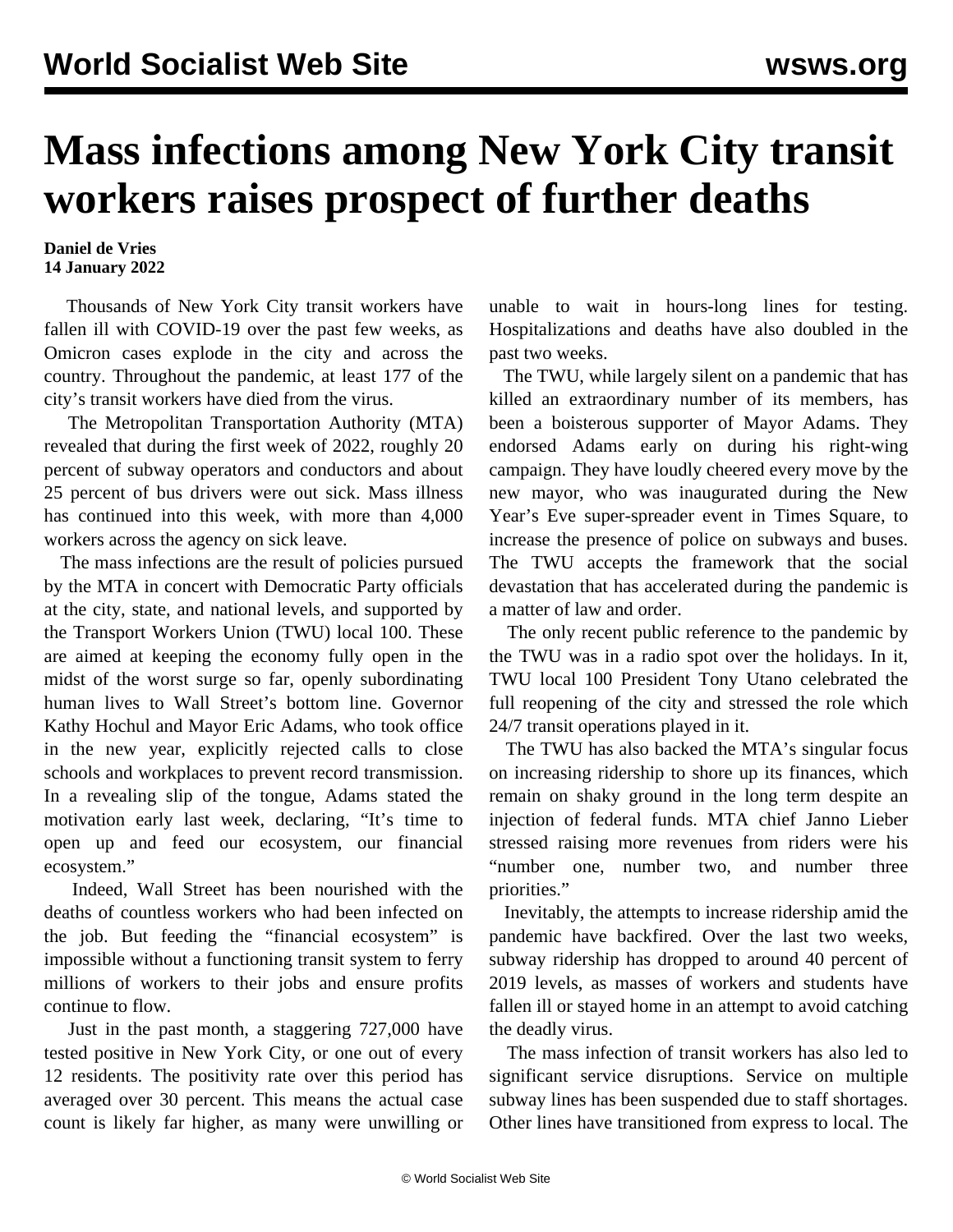## **Mass infections among New York City transit workers raises prospect of further deaths**

## **Daniel de Vries 14 January 2022**

 Thousands of New York City transit workers have fallen ill with COVID-19 over the past few weeks, as Omicron cases explode in the city and across the country. Throughout the pandemic, at least 177 of the city's transit workers have died from the virus.

 The Metropolitan Transportation Authority (MTA) revealed that during the first week of 2022, roughly 20 percent of subway operators and conductors and about 25 percent of bus drivers were out sick. Mass illness has continued into this week, with more than 4,000 workers across the agency on sick leave.

 The mass infections are the result of policies pursued by the MTA in concert with Democratic Party officials at the city, state, and national levels, and supported by the Transport Workers Union (TWU) local 100. These are aimed at keeping the economy fully open in the midst of the worst surge so far, openly subordinating human lives to Wall Street's bottom line. Governor Kathy Hochul and Mayor Eric Adams, who took office in the new year, explicitly rejected calls to close schools and workplaces to prevent record transmission. In a revealing slip of the tongue, Adams stated the motivation early last week, declaring, "It's time to open up and feed our ecosystem, our financial ecosystem."

 Indeed, Wall Street has been nourished with the deaths of countless workers who had been infected on the job. But feeding the "financial ecosystem" is impossible without a functioning transit system to ferry millions of workers to their jobs and ensure profits continue to flow.

 Just in the past month, a staggering 727,000 have tested positive in New York City, or one out of every 12 residents. The positivity rate over this period has averaged over 30 percent. This means the actual case count is likely far higher, as many were unwilling or unable to wait in hours-long lines for testing. Hospitalizations and deaths have also doubled in the past two weeks.

 The TWU, while largely silent on a pandemic that has killed an extraordinary number of its members, has been a boisterous supporter of Mayor Adams. They endorsed Adams early on during his right-wing campaign. They have loudly cheered every move by the new mayor, who was inaugurated during the New Year's Eve super-spreader event in Times Square, to increase the presence of police on subways and buses. The TWU accepts the framework that the social devastation that has accelerated during the pandemic is a matter of law and order.

 The only recent public reference to the pandemic by the TWU was in a radio spot over the holidays. In it, TWU local 100 President Tony Utano celebrated the full reopening of the city and stressed the role which 24/7 transit operations played in it.

 The TWU has also [backed](/en/articles/2021/12/07/7d51-d07.html) the MTA's singular focus on increasing ridership to shore up its finances, which remain on shaky ground in the long term despite an injection of federal funds. MTA chief Janno Lieber stressed raising more revenues from riders were his "number one, number two, and number three priorities."

 Inevitably, the attempts to increase ridership amid the pandemic have backfired. Over the last two weeks, subway ridership has dropped to around 40 percent of 2019 levels, as masses of workers and students have fallen ill or stayed home in an attempt to avoid catching the deadly virus.

 The mass infection of transit workers has also led to significant service disruptions. Service on multiple subway lines has been suspended due to staff shortages. Other lines have transitioned from express to local. The